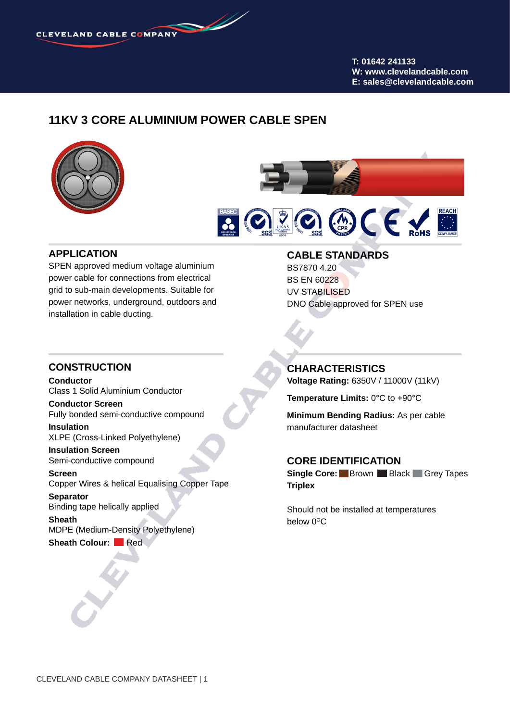**T: 01642 241133 W: www.clevelandcable.com E: sales@clevelandcable.com**

## **11KV 3 CORE ALUMINIUM POWER CABLE SPEN**





#### **APPLICATION**

SPEN approved medium voltage aluminium power cable for connections from electrical grid to sub-main developments. Suitable for power networks, underground, outdoors and installation in cable ducting.

#### **CABLE STANDARDS** BS7870 4.20

BS EN 60228 UV STABILISED DNO Cable approved for SPEN use

#### **CONSTRUCTION**

**Conductor** Class 1 Solid Aluminium Conductor

**Conductor Screen** Fully bonded semi-conductive compound

**Insulation** XLPE (Cross-Linked Polyethylene)

**Insulation Screen** Semi-conductive compound

**Screen** Copper Wires & helical Equalising Copper Tape

**Separator** Binding tape helically applied **Sheath**

MDPE (Medium-Density Polyethylene) **Sheath Colour:** Red

# **CHARACTERISTICS**

**Voltage Rating:** 6350V / 11000V (11kV)

**Temperature Limits:** 0°C to +90°C

**Minimum Bending Radius:** As per cable manufacturer datasheet

#### **CORE IDENTIFICATION**

**Single Core:** Brown Black Grey Tapes **Triplex**

Should not be installed at temperatures below  $0^{\circ}$ C